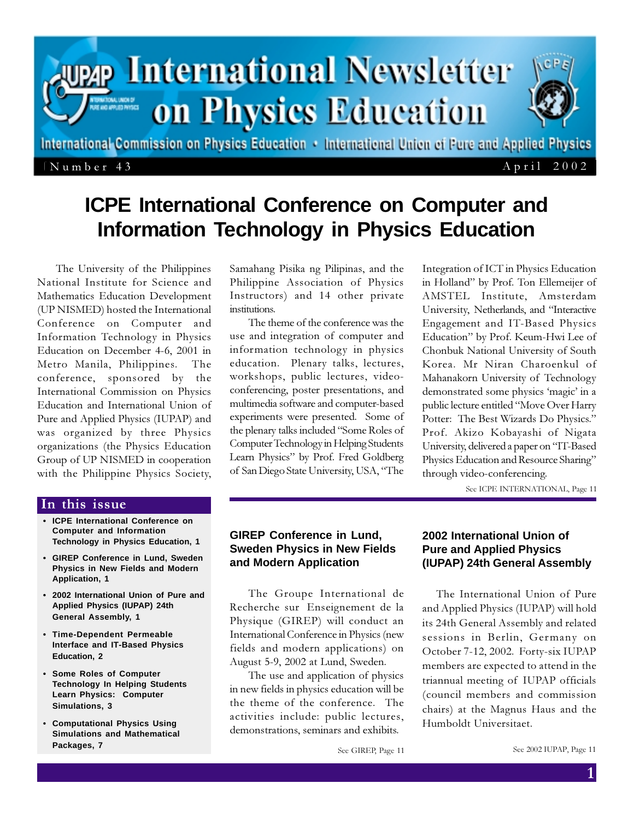

# **ICPE International Conference on Computer and Information Technology in Physics Education**

The University of the Philippines National Institute for Science and Mathematics Education Development (UP NISMED) hosted the International Conference on Computer and Information Technology in Physics Education on December 4-6, 2001 in Metro Manila, Philippines. The conference, sponsored by the International Commission on Physics Education and International Union of Pure and Applied Physics (IUPAP) and was organized by three Physics organizations (the Physics Education Group of UP NISMED in cooperation with the Philippine Physics Society,

Samahang Pisika ng Pilipinas, and the Philippine Association of Physics Instructors) and 14 other private institutions.

The theme of the conference was the use and integration of computer and information technology in physics education. Plenary talks, lectures, workshops, public lectures, videoconferencing, poster presentations, and multimedia software and computer-based experiments were presented. Some of the plenary talks included "Some Roles of Computer Technology in Helping Students Learn Physics" by Prof. Fred Goldberg of San Diego State University, USA, "The Integration of ICT in Physics Education in Holland" by Prof. Ton Ellemeijer of AMSTEL Institute, Amsterdam University, Netherlands, and "Interactive Engagement and IT-Based Physics Education" by Prof. Keum-Hwi Lee of Chonbuk National University of South Korea. Mr Niran Charoenkul of Mahanakorn University of Technology demonstrated some physics 'magic' in a public lecture entitled "Move Over Harry Potter: The Best Wizards Do Physics." Prof. Akizo Kobayashi of Nigata University, delivered a paper on "IT-Based Physics Education and Resource Sharing" through video-conferencing.

See ICPE INTERNATIONAL, Page 11

#### In this issue

- **ICPE International Conference on Computer and Information Technology in Physics Education, 1**
- **GIREP Conference in Lund, Sweden Physics in New Fields and Modern Application, 1**
- **2002 International Union of Pure and Applied Physics (IUPAP) 24th General Assembly, 1**
- **Time-Dependent Permeable Interface and IT-Based Physics Education, 2**
- **Some Roles of Computer Technology In Helping Students Learn Physics: Computer Simulations, 3**
- **Computational Physics Using Simulations and Mathematical Packages, 7**

## **GIREP Conference in Lund, Sweden Physics in New Fields and Modern Application**

The Groupe International de Recherche sur Enseignement de la Physique (GIREP) will conduct an International Conference in Physics (new fields and modern applications) on August 5-9, 2002 at Lund, Sweden.

The use and application of physics in new fields in physics education will be the theme of the conference. The activities include: public lectures, demonstrations, seminars and exhibits.

### **2002 International Union of Pure and Applied Physics (IUPAP) 24th General Assembly**

The International Union of Pure and Applied Physics (IUPAP) will hold its 24th General Assembly and related sessions in Berlin, Germany on October 7-12, 2002. Forty-six IUPAP members are expected to attend in the triannual meeting of IUPAP officials (council members and commission chairs) at the Magnus Haus and the Humboldt Universitaet.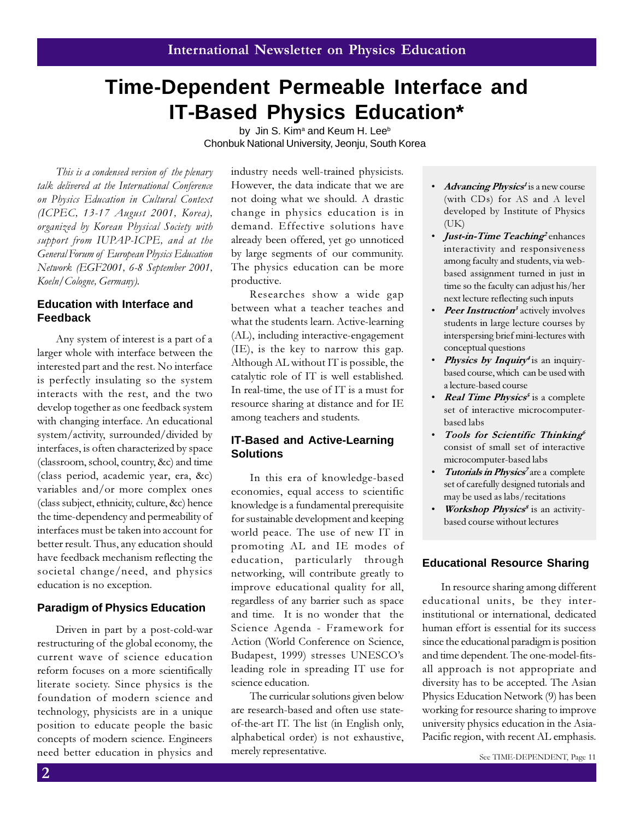# **Time-Dependent Permeable Interface and IT-Based Physics Education\***

by Jin S. Kim<sup>a</sup> and Keum H. Lee<sup>b</sup> Chonbuk National University, Jeonju, South Korea

This is a condensed version of the plenary talk delivered at the International Conference on Physics Education in Cultural Context (ICPEC, 13-17 August 2001, Korea), organized by Korean Physical Society with support from IUPAP-ICPE, and at the General Forum of European Physics Education Network (EGF2001, 6-8 September 2001, Koeln/Cologne, Germany).

### **Education with Interface and Feedback**

Any system of interest is a part of a larger whole with interface between the interested part and the rest. No interface is perfectly insulating so the system interacts with the rest, and the two develop together as one feedback system with changing interface. An educational system/activity, surrounded/divided by interfaces, is often characterized by space (classroom, school, country, &c) and time (class period, academic year, era, &c) variables and/or more complex ones (class subject, ethnicity, culture, &c) hence the time-dependency and permeability of interfaces must be taken into account for better result. Thus, any education should have feedback mechanism reflecting the societal change/need, and physics education is no exception.

#### **Paradigm of Physics Education**

Driven in part by a post-cold-war restructuring of the global economy, the current wave of science education reform focuses on a more scientifically literate society. Since physics is the foundation of modern science and technology, physicists are in a unique position to educate people the basic concepts of modern science. Engineers need better education in physics and merely representative. See TIME-DEPENDENT, Page 11

industry needs well-trained physicists. However, the data indicate that we are not doing what we should. A drastic change in physics education is in demand. Effective solutions have already been offered, yet go unnoticed by large segments of our community. The physics education can be more productive.

Researches show a wide gap between what a teacher teaches and what the students learn. Active-learning (AL), including interactive-engagement (IE), is the key to narrow this gap. Although AL without IT is possible, the catalytic role of IT is well established. In real-time, the use of IT is a must for resource sharing at distance and for IE among teachers and students.

### **IT-Based and Active-Learning Solutions**

In this era of knowledge-based economies, equal access to scientific knowledge is a fundamental prerequisite for sustainable development and keeping world peace. The use of new IT in promoting AL and IE modes of education, particularly through networking, will contribute greatly to improve educational quality for all, regardless of any barrier such as space and time. It is no wonder that the Science Agenda - Framework for Action (World Conference on Science, Budapest, 1999) stresses UNESCO's leading role in spreading IT use for science education.

The curricular solutions given below are research-based and often use stateof-the-art IT. The list (in English only, alphabetical order) is not exhaustive, merely representative.

- *Advancing Physics<sup>1</sup>* is a new course (with CDs) for AS and A level developed by Institute of Physics (UK)
- *Just-in-Time Teaching*<sup>2</sup> enhances interactivity and responsiveness among faculty and students, via webbased assignment turned in just in time so the faculty can adjust his/her next lecture reflecting such inputs
- Peer Instruction<sup>3</sup> actively involves students in large lecture courses by interspersing brief mini-lectures with conceptual questions
- **Physics by Inquiry**<sup>4</sup> is an inquirybased course, which can be used with a lecture-based course
- *Real Time Physics<sup>5</sup>* is a complete set of interactive microcomputerbased labs
- Tools for Scientific Thinking<sup>6</sup> consist of small set of interactive microcomputer-based labs
- Tutorials in Physics<sup>7</sup> are a complete set of carefully designed tutorials and may be used as labs/recitations
- *Workshop Physics<sup>8</sup>* is an activitybased course without lectures

## **Educational Resource Sharing**

In resource sharing among different educational units, be they interinstitutional or international, dedicated human effort is essential for its success since the educational paradigm is position and time dependent. The one-model-fitsall approach is not appropriate and diversity has to be accepted. The Asian Physics Education Network (9) has been working for resource sharing to improve university physics education in the Asia-Pacific region, with recent AL emphasis.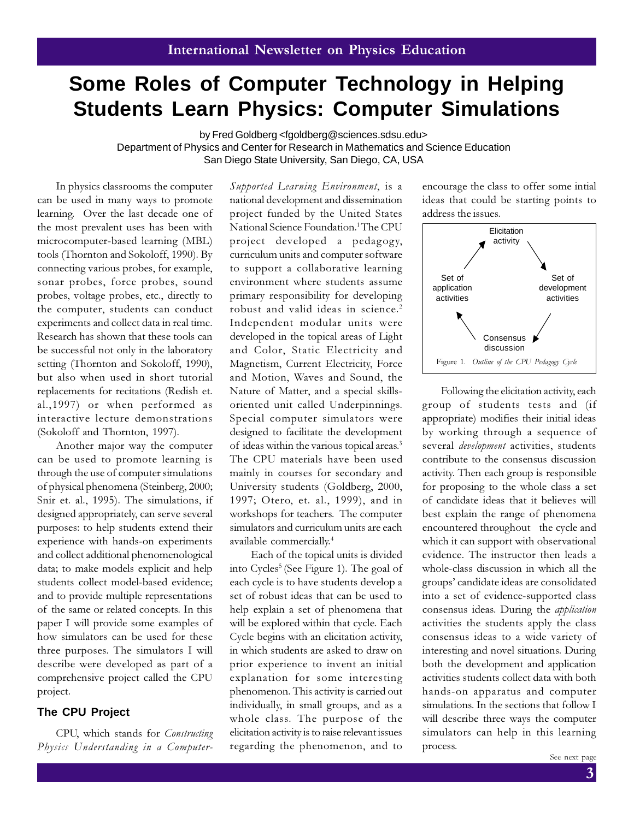# **Some Roles of Computer Technology in Helping Students Learn Physics: Computer Simulations**

by Fred Goldberg <fgoldberg@sciences.sdsu.edu>

Department of Physics and Center for Research in Mathematics and Science Education San Diego State University, San Diego, CA, USA

In physics classrooms the computer can be used in many ways to promote learning. Over the last decade one of the most prevalent uses has been with microcomputer-based learning (MBL) tools (Thornton and Sokoloff, 1990). By connecting various probes, for example, sonar probes, force probes, sound probes, voltage probes, etc., directly to the computer, students can conduct experiments and collect data in real time. Research has shown that these tools can be successful not only in the laboratory setting (Thornton and Sokoloff, 1990), but also when used in short tutorial replacements for recitations (Redish et. al.,1997) or when performed as interactive lecture demonstrations (Sokoloff and Thornton, 1997).

Another major way the computer can be used to promote learning is through the use of computer simulations of physical phenomena (Steinberg, 2000; Snir et. al., 1995). The simulations, if designed appropriately, can serve several purposes: to help students extend their experience with hands-on experiments and collect additional phenomenological data; to make models explicit and help students collect model-based evidence; and to provide multiple representations of the same or related concepts. In this paper I will provide some examples of how simulators can be used for these three purposes. The simulators I will describe were developed as part of a comprehensive project called the CPU project.

#### **The CPU Project**

CPU, which stands for Constructing Physics Understanding in a ComputerSupported Learning Environment, is a national development and dissemination project funded by the United States National Science Foundation.<sup>1</sup>The CPU project developed a pedagogy, curriculum units and computer software to support a collaborative learning environment where students assume primary responsibility for developing robust and valid ideas in science.<sup>2</sup> Independent modular units were developed in the topical areas of Light and Color, Static Electricity and Magnetism, Current Electricity, Force and Motion, Waves and Sound, the Nature of Matter, and a special skillsoriented unit called Underpinnings. Special computer simulators were designed to facilitate the development of ideas within the various topical areas.<sup>3</sup> The CPU materials have been used mainly in courses for secondary and University students (Goldberg, 2000, 1997; Otero, et. al., 1999), and in workshops for teachers. The computer simulators and curriculum units are each available commercially.<sup>4</sup>

 Each of the topical units is divided into Cycles<sup>5</sup> (See Figure 1). The goal of each cycle is to have students develop a set of robust ideas that can be used to help explain a set of phenomena that will be explored within that cycle. Each Cycle begins with an elicitation activity, in which students are asked to draw on prior experience to invent an initial explanation for some interesting phenomenon. This activity is carried out individually, in small groups, and as a whole class. The purpose of the elicitation activity is to raise relevant issues regarding the phenomenon, and to

encourage the class to offer some intial ideas that could be starting points to address the issues.



Following the elicitation activity, each group of students tests and (if appropriate) modifies their initial ideas by working through a sequence of several *development* activities, students contribute to the consensus discussion activity. Then each group is responsible for proposing to the whole class a set of candidate ideas that it believes will best explain the range of phenomena encountered throughout the cycle and which it can support with observational evidence. The instructor then leads a whole-class discussion in which all the groups' candidate ideas are consolidated into a set of evidence-supported class consensus ideas. During the *application* activities the students apply the class consensus ideas to a wide variety of interesting and novel situations. During both the development and application activities students collect data with both hands-on apparatus and computer simulations. In the sections that follow I will describe three ways the computer simulators can help in this learning process.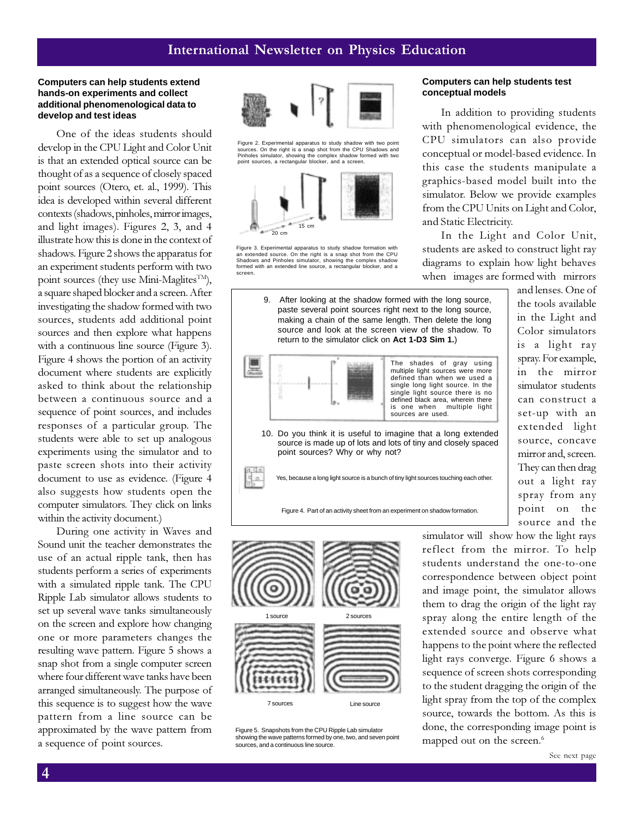#### **Computers can help students extend hands-on experiments and collect additional phenomenological data to develop and test ideas**

One of the ideas students should develop in the CPU Light and Color Unit is that an extended optical source can be thought of as a sequence of closely spaced point sources (Otero, et. al., 1999). This idea is developed within several different contexts (shadows, pinholes, mirror images, and light images). Figures 2, 3, and 4 illustrate how this is done in the context of shadows. Figure 2 shows the apparatus for an experiment students perform with two point sources (they use Mini-Maglites<sup>TM</sup>), a square shaped blocker and a screen. After investigating the shadow formed with two sources, students add additional point sources and then explore what happens with a continuous line source (Figure 3). Figure 4 shows the portion of an activity document where students are explicitly asked to think about the relationship between a continuous source and a sequence of point sources, and includes responses of a particular group. The students were able to set up analogous experiments using the simulator and to paste screen shots into their activity document to use as evidence. (Figure 4 also suggests how students open the computer simulators. They click on links within the activity document.)

During one activity in Waves and Sound unit the teacher demonstrates the use of an actual ripple tank, then has students perform a series of experiments with a simulated ripple tank. The CPU Ripple Lab simulator allows students to set up several wave tanks simultaneously on the screen and explore how changing one or more parameters changes the resulting wave pattern. Figure 5 shows a snap shot from a single computer screen where four different wave tanks have been arranged simultaneously. The purpose of this sequence is to suggest how the wave pattern from a line source can be approximated by the wave pattern from a sequence of point sources.



Figure 2. Experimental apparatus to study shadow with two point sources. On the right is a snap shot from the CPU Shadows and Pinholes simulator, showing the complex shadow formed with two point sources, a rectangular blocker, and a screen.



Figure 3. Experimental apparatus to study shadow formation with an extended source. On the right is a snap shot from the CPU Shadows and Pinholes simulator, showing the complex shadow formed with an extended line source, a rectangular blocker, and a screen.



9. After looking at the shadow formed with the long source, paste several point sources right next to the long source,

1 source 2 sources 7 sources Line source

Figure 5. Snapshots from the CPU Ripple Lab simulator showing the wave patterns formed by one, two, and seven point sources, and a continuous line source.

#### **Computers can help students test conceptual models**

In addition to providing students with phenomenological evidence, the CPU simulators can also provide conceptual or model-based evidence. In this case the students manipulate a graphics-based model built into the simulator. Below we provide examples from the CPU Units on Light and Color, and Static Electricity.

In the Light and Color Unit, students are asked to construct light ray diagrams to explain how light behaves when images are formed with mirrors

and lenses. One of the tools available in the Light and Color simulators is a light ray spray. For example, in the mirror simulator students can construct a set-up with an extended light source, concave mirror and, screen. They can then drag out a light ray spray from any point on the source and the

simulator will show how the light rays reflect from the mirror. To help students understand the one-to-one correspondence between object point and image point, the simulator allows them to drag the origin of the light ray spray along the entire length of the extended source and observe what happens to the point where the reflected light rays converge. Figure 6 shows a sequence of screen shots corresponding to the student dragging the origin of the light spray from the top of the complex source, towards the bottom. As this is done, the corresponding image point is mapped out on the screen.<sup>6</sup>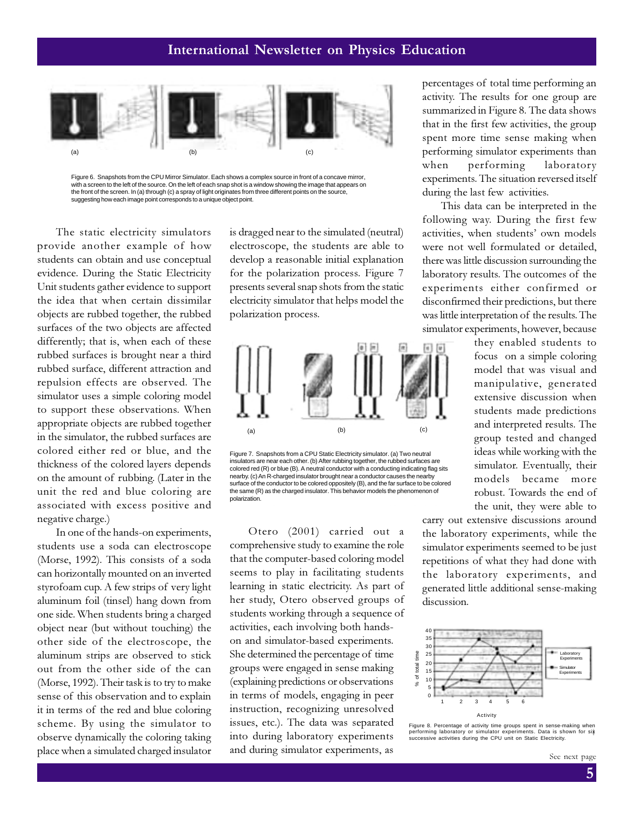

Figure 6. Snapshots from the CPU Mirror Simulator. Each shows a complex source in front of a concave mirror, with a screen to the left of the source. On the left of each snap shot is a window showing the image that appears on the front of the screen. In (a) through (c) a spray of light originates from three different points on the source, suggesting how each image point corresponds to a unique object point.

The static electricity simulators provide another example of how students can obtain and use conceptual evidence. During the Static Electricity Unit students gather evidence to support the idea that when certain dissimilar objects are rubbed together, the rubbed surfaces of the two objects are affected differently; that is, when each of these rubbed surfaces is brought near a third rubbed surface, different attraction and repulsion effects are observed. The simulator uses a simple coloring model to support these observations. When appropriate objects are rubbed together in the simulator, the rubbed surfaces are colored either red or blue, and the thickness of the colored layers depends on the amount of rubbing. (Later in the unit the red and blue coloring are associated with excess positive and negative charge.)

In one of the hands-on experiments, students use a soda can electroscope (Morse, 1992). This consists of a soda can horizontally mounted on an inverted styrofoam cup. A few strips of very light aluminum foil (tinsel) hang down from one side. When students bring a charged object near (but without touching) the other side of the electroscope, the aluminum strips are observed to stick out from the other side of the can (Morse, 1992). Their task is to try to make sense of this observation and to explain it in terms of the red and blue coloring scheme. By using the simulator to observe dynamically the coloring taking place when a simulated charged insulator

is dragged near to the simulated (neutral) electroscope, the students are able to develop a reasonable initial explanation for the polarization process. Figure 7 presents several snap shots from the static electricity simulator that helps model the polarization process.



Figure 7. Snapshots from a CPU Static Electricity simulator. (a) Two neutral insulators are near each other. (b) After rubbing together, the rubbed surfaces are colored red (R) or blue (B). A neutral conductor with a conducting indicating flag sits nearby. (c) An R-charged insulator brought near a conductor causes the nearby surface of the conductor to be colored oppositely (B), and the far surface to be colored the same (R) as the charged insulator. This behavior models the phenomenon of polarization.

Otero (2001) carried out a comprehensive study to examine the role that the computer-based coloring model seems to play in facilitating students learning in static electricity. As part of her study, Otero observed groups of students working through a sequence of activities, each involving both handson and simulator-based experiments. She determined the percentage of time groups were engaged in sense making (explaining predictions or observations in terms of models, engaging in peer instruction, recognizing unresolved issues, etc.). The data was separated into during laboratory experiments and during simulator experiments, as

percentages of total time performing an activity. The results for one group are summarized in Figure 8. The data shows that in the first few activities, the group spent more time sense making when performing simulator experiments than when performing laboratory experiments. The situation reversed itself during the last few activities.

This data can be interpreted in the following way. During the first few activities, when students' own models were not well formulated or detailed, there was little discussion surrounding the laboratory results. The outcomes of the experiments either confirmed or disconfirmed their predictions, but there was little interpretation of the results. The simulator experiments, however, because

> they enabled students to focus on a simple coloring model that was visual and manipulative, generated extensive discussion when students made predictions and interpreted results. The group tested and changed ideas while working with the simulator. Eventually, their models became more robust. Towards the end of the unit, they were able to

carry out extensive discussions around the laboratory experiments, while the simulator experiments seemed to be just repetitions of what they had done with the laboratory experiments, and generated little additional sense-making discussion.



Figure 8. Percentage of activity time groups spent in sense-making when<br>performing laboratory or simulator experiments. Data is shown for si<mark>k</mark><br>successive activities during the CPU unit on Static Electricity.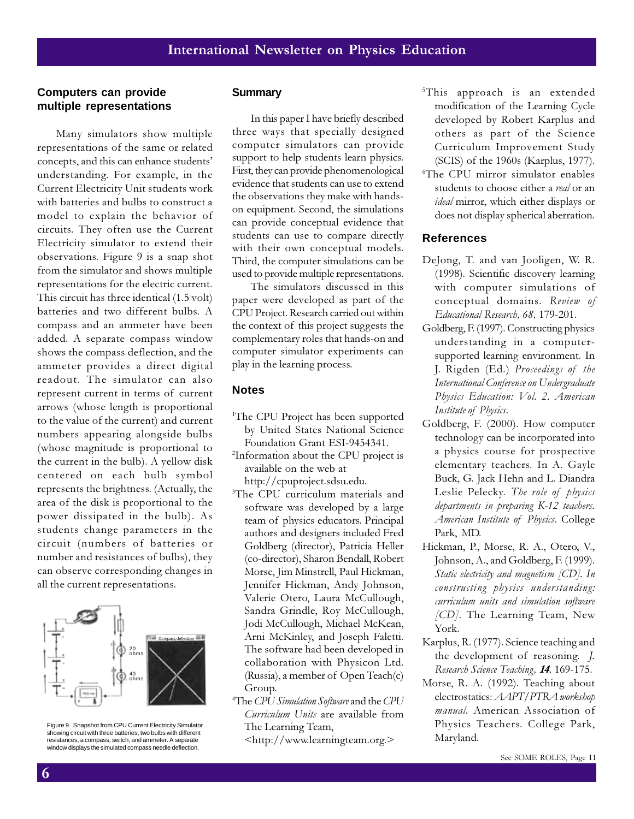#### **Computers can provide multiple representations**

Many simulators show multiple representations of the same or related concepts, and this can enhance students' understanding. For example, in the Current Electricity Unit students work with batteries and bulbs to construct a model to explain the behavior of circuits. They often use the Current Electricity simulator to extend their observations. Figure 9 is a snap shot from the simulator and shows multiple representations for the electric current. This circuit has three identical (1.5 volt) batteries and two different bulbs. A compass and an ammeter have been added. A separate compass window shows the compass deflection, and the ammeter provides a direct digital readout. The simulator can also represent current in terms of current arrows (whose length is proportional to the value of the current) and current numbers appearing alongside bulbs (whose magnitude is proportional to the current in the bulb). A yellow disk centered on each bulb symbol represents the brightness. (Actually, the area of the disk is proportional to the power dissipated in the bulb). As students change parameters in the circuit (numbers of batteries or number and resistances of bulbs), they can observe corresponding changes in all the current representations.



Figure 9. Snapshot from CPU Current Electricity Simulator showing circuit with three batteries, two bulbs with different resistances, a compass, switch, and ammeter. A separate window displays the simulated compass needle deflection.

#### **Summary**

In this paper I have briefly described three ways that specially designed computer simulators can provide support to help students learn physics. First, they can provide phenomenological evidence that students can use to extend the observations they make with handson equipment. Second, the simulations can provide conceptual evidence that students can use to compare directly with their own conceptual models. Third, the computer simulations can be used to provide multiple representations.

The simulators discussed in this paper were developed as part of the CPU Project. Research carried out within the context of this project suggests the complementary roles that hands-on and computer simulator experiments can play in the learning process.

#### **Notes**

- <sup>1</sup>The CPU Project has been supported by United States National Science Foundation Grant ESI-9454341.
- 2 Information about the CPU project is available on the web at http://cpuproject.sdsu.edu.
- 3 The CPU curriculum materials and software was developed by a large team of physics educators. Principal authors and designers included Fred Goldberg (director), Patricia Heller (co-director), Sharon Bendall, Robert Morse, Jim Minstrell, Paul Hickman, Jennifer Hickman, Andy Johnson, Valerie Otero, Laura McCullough, Sandra Grindle, Roy McCullough, Jodi McCullough, Michael McKean, Arni McKinley, and Joseph Faletti. The software had been developed in collaboration with Physicon Ltd. (Russia), a member of Open Teach(c) Group.
- 4 The CPU Simulation Software and the CPU Curriculum Units are available from The Learning Team,

<http://www.learningteam.org.>

- 5 This approach is an extended modification of the Learning Cycle developed by Robert Karplus and others as part of the Science Curriculum Improvement Study (SCIS) of the 1960s (Karplus, 1977).
- 6 The CPU mirror simulator enables students to choose either a real or an ideal mirror, which either displays or does not display spherical aberration.

### **References**

- DeJong, T. and van Jooligen, W. R. (1998). Scientific discovery learning with computer simulations of conceptual domains. Review of Educational Research, 68, 179-201.
- Goldberg, F. (1997). Constructing physics understanding in a computersupported learning environment. In J. Rigden (Ed.) Proceedings of the International Conference on Undergraduate Physics Education: Vol. 2. American Institute of Physics.
- Goldberg, F. (2000). How computer technology can be incorporated into a physics course for prospective elementary teachers. In A. Gayle Buck, G. Jack Hehn and L. Diandra Leslie Pelecky. The role of physics departments in preparing K-12 teachers. American Institute of Physics. College Park, MD.
- Hickman, P., Morse, R. A., Otero, V., Johnson, A., and Goldberg, F. (1999). Static electricity and magnetism [CD]. In constructing physics understanding: curriculum units and simulation software [CD]. The Learning Team, New York.
- Karplus, R. (1977). Science teaching and the development of reasoning. J. Research Science Teaching, 14, 169-175.
- Morse, R. A. (1992). Teaching about electrostatics: AAPT/PTRA workshop manual. American Association of Physics Teachers. College Park, Maryland.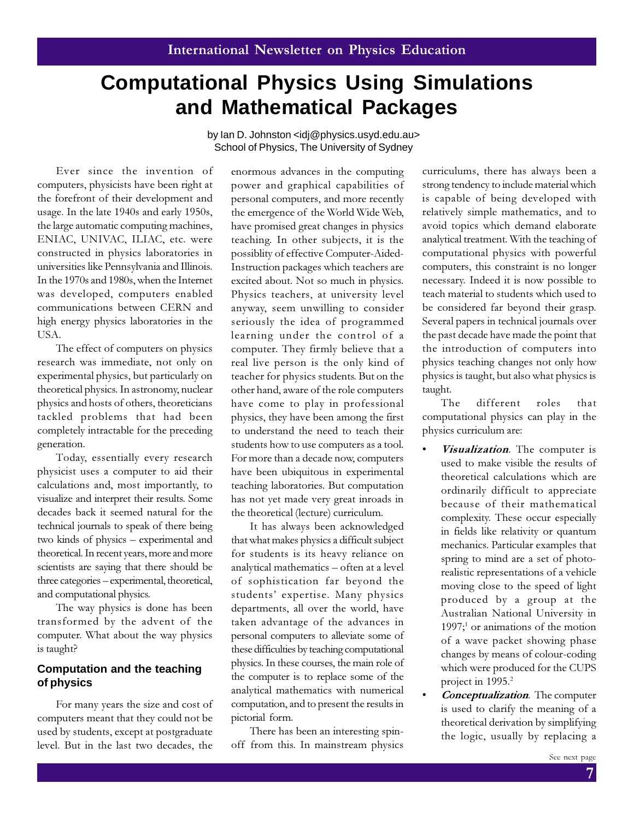# **Computational Physics Using Simulations and Mathematical Packages**

by Ian D. Johnston <idj@physics.usyd.edu.au> School of Physics, The University of Sydney

Ever since the invention of computers, physicists have been right at the forefront of their development and usage. In the late 1940s and early 1950s, the large automatic computing machines, ENIAC, UNIVAC, ILIAC, etc. were constructed in physics laboratories in universities like Pennsylvania and Illinois. In the 1970s and 1980s, when the Internet was developed, computers enabled communications between CERN and high energy physics laboratories in the USA.

The effect of computers on physics research was immediate, not only on experimental physics, but particularly on theoretical physics. In astronomy, nuclear physics and hosts of others, theoreticians tackled problems that had been completely intractable for the preceding generation.

Today, essentially every research physicist uses a computer to aid their calculations and, most importantly, to visualize and interpret their results. Some decades back it seemed natural for the technical journals to speak of there being two kinds of physics – experimental and theoretical. In recent years, more and more scientists are saying that there should be three categories – experimental, theoretical, and computational physics.

The way physics is done has been transformed by the advent of the computer. What about the way physics is taught?

### **Computation and the teaching of physics**

For many years the size and cost of computers meant that they could not be used by students, except at postgraduate level. But in the last two decades, the enormous advances in the computing power and graphical capabilities of personal computers, and more recently the emergence of the World Wide Web, have promised great changes in physics teaching. In other subjects, it is the possiblity of effective Computer-Aided-Instruction packages which teachers are excited about. Not so much in physics. Physics teachers, at university level anyway, seem unwilling to consider seriously the idea of programmed learning under the control of a computer. They firmly believe that a real live person is the only kind of teacher for physics students. But on the other hand, aware of the role computers have come to play in professional physics, they have been among the first to understand the need to teach their students how to use computers as a tool. For more than a decade now, computers have been ubiquitous in experimental teaching laboratories. But computation has not yet made very great inroads in the theoretical (lecture) curriculum.

It has always been acknowledged that what makes physics a difficult subject for students is its heavy reliance on analytical mathematics – often at a level of sophistication far beyond the students' expertise. Many physics departments, all over the world, have taken advantage of the advances in personal computers to alleviate some of these difficulties by teaching computational physics. In these courses, the main role of the computer is to replace some of the analytical mathematics with numerical computation, and to present the results in pictorial form.

There has been an interesting spinoff from this. In mainstream physics

curriculums, there has always been a strong tendency to include material which is capable of being developed with relatively simple mathematics, and to avoid topics which demand elaborate analytical treatment. With the teaching of computational physics with powerful computers, this constraint is no longer necessary. Indeed it is now possible to teach material to students which used to be considered far beyond their grasp. Several papers in technical journals over the past decade have made the point that the introduction of computers into physics teaching changes not only how physics is taught, but also what physics is taught.

The different roles that computational physics can play in the physics curriculum are:

- Visualization. The computer is used to make visible the results of theoretical calculations which are ordinarily difficult to appreciate because of their mathematical complexity. These occur especially in fields like relativity or quantum mechanics. Particular examples that spring to mind are a set of photorealistic representations of a vehicle moving close to the speed of light produced by a group at the Australian National University in  $1997;$ <sup>1</sup> or animations of the motion of a wave packet showing phase changes by means of colour-coding which were produced for the CUPS project in 1995.<sup>2</sup>
- Conceptualization. The computer is used to clarify the meaning of a theoretical derivation by simplifying the logic, usually by replacing a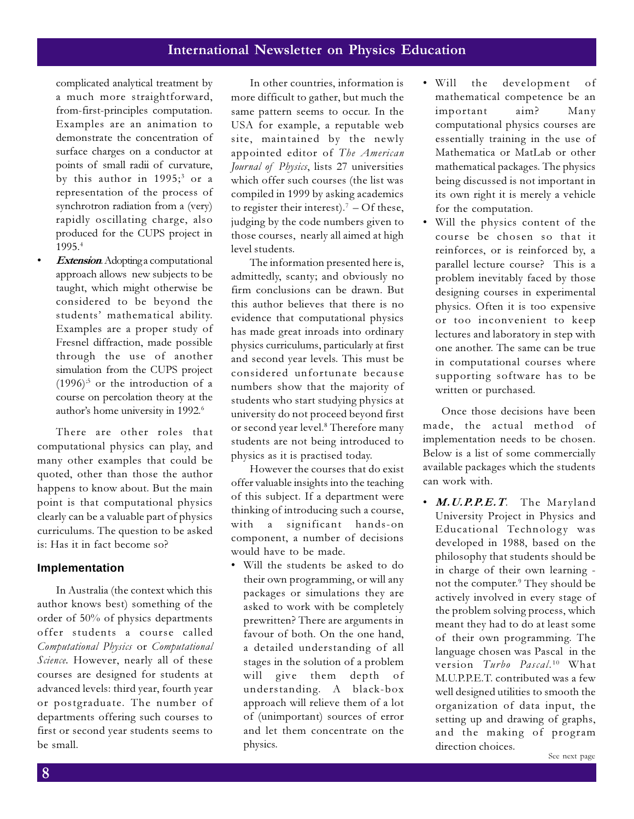complicated analytical treatment by a much more straightforward, from-first-principles computation. Examples are an animation to demonstrate the concentration of surface charges on a conductor at points of small radii of curvature, by this author in 1995;<sup>3</sup> or a representation of the process of synchrotron radiation from a (very) rapidly oscillating charge, also produced for the CUPS project in 1995.<sup>4</sup>

**Extension**. Adopting a computational approach allows new subjects to be taught, which might otherwise be considered to be beyond the students' mathematical ability. Examples are a proper study of Fresnel diffraction, made possible through the use of another simulation from the CUPS project  $(1996)^5$  or the introduction of a course on percolation theory at the author's home university in 1992.<sup>6</sup>

There are other roles that computational physics can play, and many other examples that could be quoted, other than those the author happens to know about. But the main point is that computational physics clearly can be a valuable part of physics curriculums. The question to be asked is: Has it in fact become so?

#### **Implementation**

In Australia (the context which this author knows best) something of the order of 50% of physics departments offer students a course called Computational Physics or Computational Science. However, nearly all of these courses are designed for students at advanced levels: third year, fourth year or postgraduate. The number of departments offering such courses to first or second year students seems to be small.

In other countries, information is more difficult to gather, but much the same pattern seems to occur. In the USA for example, a reputable web site, maintained by the newly appointed editor of The American Journal of Physics, lists 27 universities which offer such courses (the list was compiled in 1999 by asking academics to register their interest).<sup>7</sup> – Of these, judging by the code numbers given to those courses, nearly all aimed at high level students.

The information presented here is, admittedly, scanty; and obviously no firm conclusions can be drawn. But this author believes that there is no evidence that computational physics has made great inroads into ordinary physics curriculums, particularly at first and second year levels. This must be considered unfortunate because numbers show that the majority of students who start studying physics at university do not proceed beyond first or second year level.<sup>8</sup> Therefore many students are not being introduced to physics as it is practised today.

However the courses that do exist offer valuable insights into the teaching of this subject. If a department were thinking of introducing such a course, with a significant hands-on component, a number of decisions would have to be made.

• Will the students be asked to do their own programming, or will any packages or simulations they are asked to work with be completely prewritten? There are arguments in favour of both. On the one hand, a detailed understanding of all stages in the solution of a problem will give them depth of understanding. A black-box approach will relieve them of a lot of (unimportant) sources of error and let them concentrate on the physics.

- Will the development of mathematical competence be an important aim? Many computational physics courses are essentially training in the use of Mathematica or MatLab or other mathematical packages. The physics being discussed is not important in its own right it is merely a vehicle for the computation.
- Will the physics content of the course be chosen so that it reinforces, or is reinforced by, a parallel lecture course? This is a problem inevitably faced by those designing courses in experimental physics. Often it is too expensive or too inconvenient to keep lectures and laboratory in step with one another. The same can be true in computational courses where supporting software has to be written or purchased.

Once those decisions have been made, the actual method of implementation needs to be chosen. Below is a list of some commercially available packages which the students can work with.

• M.U.P.P.E.T. The Maryland University Project in Physics and Educational Technology was developed in 1988, based on the philosophy that students should be in charge of their own learning not the computer.<sup>9</sup> They should be actively involved in every stage of the problem solving process, which meant they had to do at least some of their own programming. The language chosen was Pascal in the version Turbo Pascal. <sup>10</sup> What M.U.P.P.E.T. contributed was a few well designed utilities to smooth the organization of data input, the setting up and drawing of graphs, and the making of program direction choices.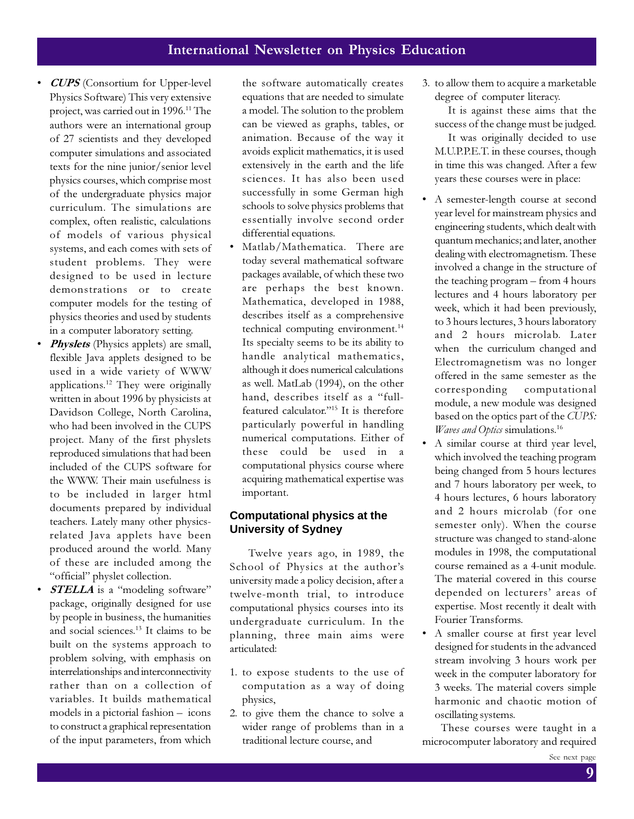- CUPS (Consortium for Upper-level Physics Software) This very extensive project, was carried out in 1996.<sup>11</sup> The authors were an international group of 27 scientists and they developed computer simulations and associated texts for the nine junior/senior level physics courses, which comprise most of the undergraduate physics major curriculum. The simulations are complex, often realistic, calculations of models of various physical systems, and each comes with sets of student problems. They were designed to be used in lecture demonstrations or to create computer models for the testing of physics theories and used by students in a computer laboratory setting.
- *Physlets* (Physics applets) are small, flexible Java applets designed to be used in a wide variety of WWW applications.<sup>12</sup> They were originally written in about 1996 by physicists at Davidson College, North Carolina, who had been involved in the CUPS project. Many of the first physlets reproduced simulations that had been included of the CUPS software for the WWW. Their main usefulness is to be included in larger html documents prepared by individual teachers. Lately many other physicsrelated Java applets have been produced around the world. Many of these are included among the "official" physlet collection.
- **STELLA** is a "modeling software" package, originally designed for use by people in business, the humanities and social sciences.<sup>13</sup> It claims to be built on the systems approach to problem solving, with emphasis on interrelationships and interconnectivity rather than on a collection of variables. It builds mathematical models in a pictorial fashion – icons to construct a graphical representation of the input parameters, from which

the software automatically creates equations that are needed to simulate a model. The solution to the problem can be viewed as graphs, tables, or animation. Because of the way it avoids explicit mathematics, it is used extensively in the earth and the life sciences. It has also been used successfully in some German high schools to solve physics problems that essentially involve second order differential equations.

Matlab/Mathematica. There are today several mathematical software packages available, of which these two are perhaps the best known. Mathematica, developed in 1988, describes itself as a comprehensive technical computing environment.<sup>14</sup> Its specialty seems to be its ability to handle analytical mathematics, although it does numerical calculations as well. MatLab (1994), on the other hand, describes itself as a "fullfeatured calculator."<sup>15</sup> It is therefore particularly powerful in handling numerical computations. Either of these could be used in a computational physics course where acquiring mathematical expertise was important.

### **Computational physics at the University of Sydney**

Twelve years ago, in 1989, the School of Physics at the author's university made a policy decision, after a twelve-month trial, to introduce computational physics courses into its undergraduate curriculum. In the planning, three main aims were articulated:

- 1. to expose students to the use of computation as a way of doing physics,
- 2. to give them the chance to solve a wider range of problems than in a traditional lecture course, and

3. to allow them to acquire a marketable degree of computer literacy.

 It is against these aims that the success of the change must be judged.

 It was originally decided to use M.U.P.P.E.T. in these courses, though in time this was changed. After a few years these courses were in place:

- A semester-length course at second year level for mainstream physics and engineering students, which dealt with quantum mechanics; and later, another dealing with electromagnetism. These involved a change in the structure of the teaching program – from 4 hours lectures and 4 hours laboratory per week, which it had been previously, to 3 hours lectures, 3 hours laboratory and 2 hours microlab. Later when the curriculum changed and Electromagnetism was no longer offered in the same semester as the corresponding computational module, a new module was designed based on the optics part of the CUPS: Waves and Optics simulations.<sup>16</sup>
- A similar course at third year level, which involved the teaching program being changed from 5 hours lectures and 7 hours laboratory per week, to 4 hours lectures, 6 hours laboratory and 2 hours microlab (for one semester only). When the course structure was changed to stand-alone modules in 1998, the computational course remained as a 4-unit module. The material covered in this course depended on lecturers' areas of expertise. Most recently it dealt with Fourier Transforms.
- A smaller course at first year level designed for students in the advanced stream involving 3 hours work per week in the computer laboratory for 3 weeks. The material covers simple harmonic and chaotic motion of oscillating systems.

These courses were taught in a microcomputer laboratory and required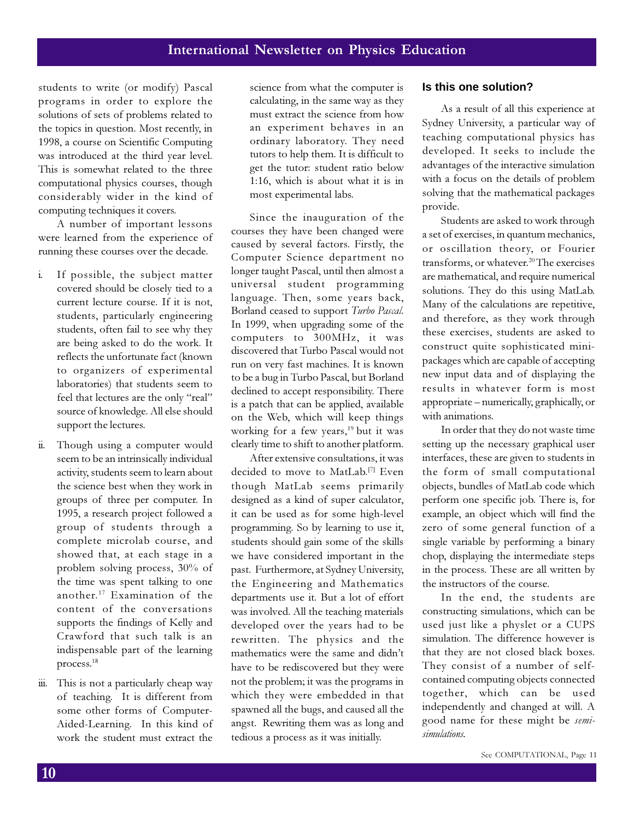students to write (or modify) Pascal programs in order to explore the solutions of sets of problems related to the topics in question. Most recently, in 1998, a course on Scientific Computing was introduced at the third year level. This is somewhat related to the three computational physics courses, though considerably wider in the kind of computing techniques it covers.

A number of important lessons were learned from the experience of running these courses over the decade.

- i. If possible, the subject matter covered should be closely tied to a current lecture course. If it is not, students, particularly engineering students, often fail to see why they are being asked to do the work. It reflects the unfortunate fact (known to organizers of experimental laboratories) that students seem to feel that lectures are the only "real" source of knowledge. All else should support the lectures.
- ii. Though using a computer would seem to be an intrinsically individual activity, students seem to learn about the science best when they work in groups of three per computer. In 1995, a research project followed a group of students through a complete microlab course, and showed that, at each stage in a problem solving process, 30% of the time was spent talking to one another.<sup>17</sup> Examination of the content of the conversations supports the findings of Kelly and Crawford that such talk is an indispensable part of the learning process.<sup>18</sup>
- iii. This is not a particularly cheap way of teaching. It is different from some other forms of Computer-Aided-Learning. In this kind of work the student must extract the

science from what the computer is calculating, in the same way as they must extract the science from how an experiment behaves in an ordinary laboratory. They need tutors to help them. It is difficult to get the tutor: student ratio below 1:16, which is about what it is in most experimental labs.

Since the inauguration of the courses they have been changed were caused by several factors. Firstly, the Computer Science department no longer taught Pascal, until then almost a universal student programming language. Then, some years back, Borland ceased to support Turbo Pascal. In 1999, when upgrading some of the computers to 300MHz, it was discovered that Turbo Pascal would not run on very fast machines. It is known to be a bug in Turbo Pascal, but Borland declined to accept responsibility. There is a patch that can be applied, available on the Web, which will keep things working for a few years,<sup>19</sup> but it was clearly time to shift to another platform.

After extensive consultations, it was decided to move to MatLab.[7] Even though MatLab seems primarily designed as a kind of super calculator, it can be used as for some high-level programming. So by learning to use it, students should gain some of the skills we have considered important in the past. Furthermore, at Sydney University, the Engineering and Mathematics departments use it. But a lot of effort was involved. All the teaching materials developed over the years had to be rewritten. The physics and the mathematics were the same and didn't have to be rediscovered but they were not the problem; it was the programs in which they were embedded in that spawned all the bugs, and caused all the angst. Rewriting them was as long and tedious a process as it was initially.

#### **Is this one solution?**

As a result of all this experience at Sydney University, a particular way of teaching computational physics has developed. It seeks to include the advantages of the interactive simulation with a focus on the details of problem solving that the mathematical packages provide.

Students are asked to work through a set of exercises, in quantum mechanics, or oscillation theory, or Fourier transforms, or whatever.<sup>20</sup>The exercises are mathematical, and require numerical solutions. They do this using MatLab. Many of the calculations are repetitive, and therefore, as they work through these exercises, students are asked to construct quite sophisticated minipackages which are capable of accepting new input data and of displaying the results in whatever form is most appropriate – numerically, graphically, or with animations.

In order that they do not waste time setting up the necessary graphical user interfaces, these are given to students in the form of small computational objects, bundles of MatLab code which perform one specific job. There is, for example, an object which will find the zero of some general function of a single variable by performing a binary chop, displaying the intermediate steps in the process. These are all written by the instructors of the course.

In the end, the students are constructing simulations, which can be used just like a physlet or a CUPS simulation. The difference however is that they are not closed black boxes. They consist of a number of selfcontained computing objects connected together, which can be used independently and changed at will. A good name for these might be semisimulations.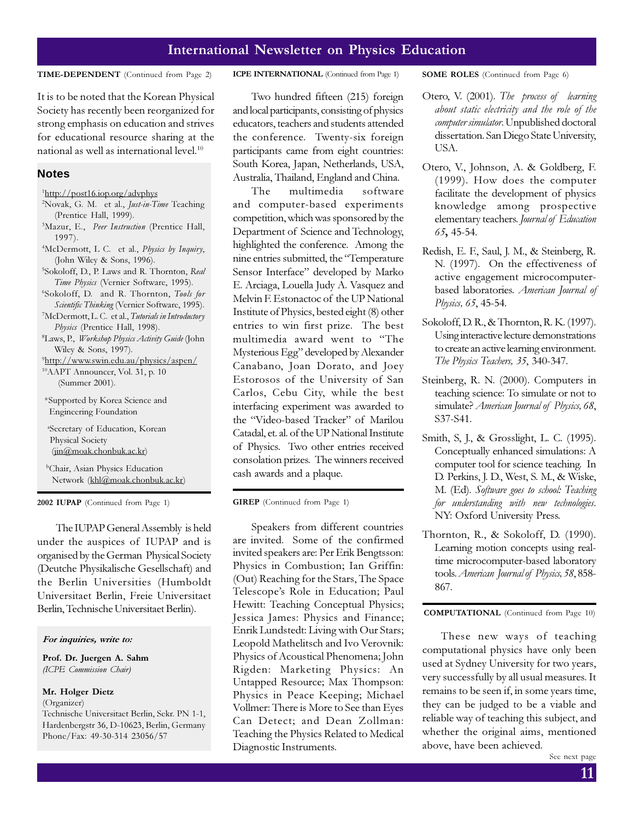It is to be noted that the Korean Physical Society has recently been reorganized for strong emphasis on education and strives for educational resource sharing at the national as well as international level. $10$ 

#### **Notes**

- 1 http://post16.iop.org/advphys
- <sup>2</sup>Novak, G. M. et al., *Just-in-Time* Teaching (Prentice Hall, 1999).
- <sup>3</sup>Mazur, E., Peer Instruction (Prentice Hall, 1997).
- <sup>4</sup>McDermott, L C. et al., Physics by Inquiry, (John Wiley & Sons, 1996).
- <sup>5</sup>Sokoloff, D., P. Laws and R. Thornton, Real Time Physics (Vernier Software, 1995).
- 6 Sokoloff, D. and R. Thornton, Tools for Scientific Thinking (Vernier Software, 1995).
- <sup>7</sup>McDermott, L. C. et al., *Tutorials in Introductory* Physics (Prentice Hall, 1998).
- <sup>8</sup>Laws, P., *Workshop Physics Activity Guide* (John Wiley & Sons, 1997).

9 http://www.swin.edu.au/physics/aspen/ <sup>10</sup>AAPT Announcer, Vol. 31, p. 10 (Summer 2001).

 \*Supported by Korea Science and Engineering Foundation

<sup>a</sup>Secretary of Education, Korean Physical Society (jin@moak.chonbuk.ac.kr)

<sup>b</sup>Chair, Asian Physics Education Network (khl@moak.chonbuk.ac.kr)

2002 IUPAP (Continued from Page 1)

The IUPAP General Assembly is held under the auspices of IUPAP and is organised by the German Physical Society (Deutche Physikalische Gesellschaft) and the Berlin Universities (Humboldt Universitaet Berlin, Freie Universitaet Berlin, Technische Universitaet Berlin).

#### For inquiries, write to:

Prof. Dr. Juergen A. Sahm (ICPE Commission Chair)

#### Mr. Holger Dietz

(Organizer)

Technische Universitaet Berlin, Sekr. PN 1-1, Hardenbergstr 36, D-10623, Berlin, Germany Phone/Fax: 49-30-314 23056/57

#### TIME-DEPENDENT (Continued from Page 2) ICPE INTERNATIONAL (Continued from Page 1) SOME ROLES (Continued from Page 6)

Two hundred fifteen (215) foreign and local participants, consisting of physics educators, teachers and students attended the conference. Twenty-six foreign participants came from eight countries: South Korea, Japan, Netherlands, USA, Australia, Thailand, England and China.

The multimedia software and computer-based experiments competition, which was sponsored by the Department of Science and Technology, highlighted the conference. Among the nine entries submitted, the "Temperature Sensor Interface" developed by Marko E. Arciaga, Louella Judy A. Vasquez and Melvin F. Estonactoc of the UP National Institute of Physics, bested eight (8) other entries to win first prize. The best multimedia award went to "The Mysterious Egg" developed by Alexander Canabano, Joan Dorato, and Joey Estorosos of the University of San Carlos, Cebu City, while the best interfacing experiment was awarded to the "Video-based Tracker" of Marilou Catadal, et. al. of the UP National Institute of Physics. Two other entries received consolation prizes. The winners received cash awards and a plaque.

GIREP (Continued from Page 1)

Speakers from different countries are invited. Some of the confirmed invited speakers are: Per Erik Bengtsson: Physics in Combustion; Ian Griffin: (Out) Reaching for the Stars, The Space Telescope's Role in Education; Paul Hewitt: Teaching Conceptual Physics; Jessica James: Physics and Finance; Enrik Lundstedt: Living with Our Stars; Leopold Mathelitsch and Ivo Verovnik: Physics of Acoustical Phenomena; John Rigden: Marketing Physics: An Untapped Resource; Max Thompson: Physics in Peace Keeping; Michael Vollmer: There is More to See than Eyes Can Detect; and Dean Zollman: Teaching the Physics Related to Medical Diagnostic Instruments.

- Otero, V. (2001). The process of learning about static electricity and the role of the computer simulator. Unpublished doctoral dissertation. San Diego State University, USA.
- Otero, V., Johnson, A. & Goldberg, F. (1999). How does the computer facilitate the development of physics knowledge among prospective elementary teachers. Journal of Education 65, 45-54.
- Redish, E. F., Saul, J. M., & Steinberg, R. N. (1997). On the effectiveness of active engagement microcomputerbased laboratories. American Journal of Physics, 65, 45-54.
- Sokoloff, D. R., & Thornton, R. K. (1997). Using interactive lecture demonstrations to create an active learning environment. The Physics Teachers, 35, 340-347.
- Steinberg, R. N. (2000). Computers in teaching science: To simulate or not to simulate? American Journal of Physics, 68, S37-S41.
- Smith, S, J., & Grosslight, L. C. (1995). Conceptually enhanced simulations: A computer tool for science teaching. In D. Perkins, J. D., West, S. M., & Wiske, M. (Ed). Software goes to school: Teaching for understanding with new technologies. NY: Oxford University Press.
- Thornton, R., & Sokoloff, D. (1990). Learning motion concepts using realtime microcomputer-based laboratory tools. American Journal of Physics, 58, 858- 867.

COMPUTATIONAL (Continued from Page 10)

These new ways of teaching computational physics have only been used at Sydney University for two years, very successfully by all usual measures. It remains to be seen if, in some years time, they can be judged to be a viable and reliable way of teaching this subject, and whether the original aims, mentioned above, have been achieved.

See next page